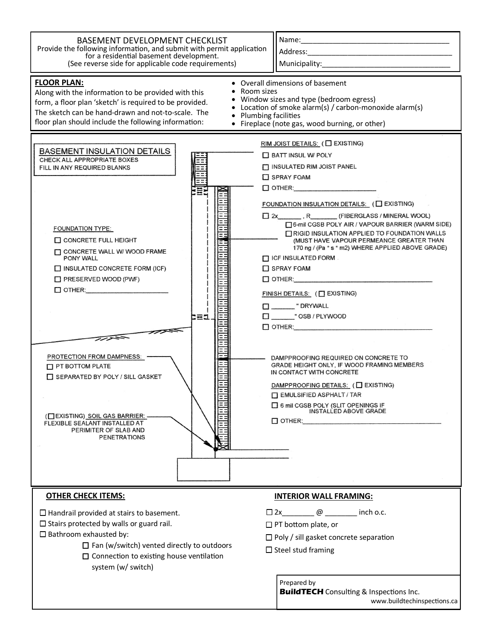